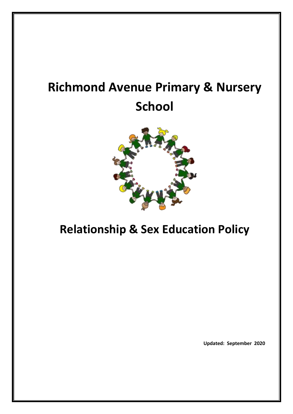# **Richmond Avenue Primary & Nursery School**



# **Relationship & Sex Education Policy**

**Updated: September 2020**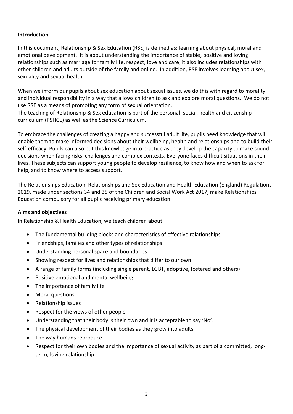#### **Introduction**

In this document, Relationship & Sex Education (RSE) is defined as: learning about physical, moral and emotional development. It is about understanding the importance of stable, positive and loving relationships such as marriage for family life, respect, love and care; it also includes relationships with other children and adults outside of the family and online. In addition, RSE involves learning about sex, sexuality and sexual health.

When we inform our pupils about sex education about sexual issues, we do this with regard to morality and individual responsibility in a way that allows children to ask and explore moral questions. We do not use RSE as a means of promoting any form of sexual orientation.

The teaching of Relationship & Sex education is part of the personal, social, health and citizenship curriculum (PSHCE) as well as the Science Curriculum.

To embrace the challenges of creating a happy and successful adult life, pupils need knowledge that will enable them to make informed decisions about their wellbeing, health and relationships and to build their self-efficacy. Pupils can also put this knowledge into practice as they develop the capacity to make sound decisions when facing risks, challenges and complex contexts. Everyone faces difficult situations in their lives. These subjects can support young people to develop resilience, to know how and when to ask for help, and to know where to access support.

The Relationships Education, Relationships and Sex Education and Health Education (England) Regulations 2019, made under sections 34 and 35 of the Children and Social Work Act 2017, make Relationships Education compulsory for all pupils receiving primary education

#### **Aims and objectives**

In Relationship & Health Education, we teach children about:

- The fundamental building blocks and characteristics of effective relationships
- Friendships, families and other types of relationships
- Understanding personal space and boundaries
- Showing respect for lives and relationships that differ to our own
- A range of family forms (including single parent, LGBT, adoptive, fostered and others)
- Positive emotional and mental wellbeing
- The importance of family life
- Moral questions
- Relationship issues
- Respect for the views of other people
- Understanding that their body is their own and it is acceptable to say 'No'.
- The physical development of their bodies as they grow into adults
- The way humans reproduce
- Respect for their own bodies and the importance of sexual activity as part of a committed, longterm, loving relationship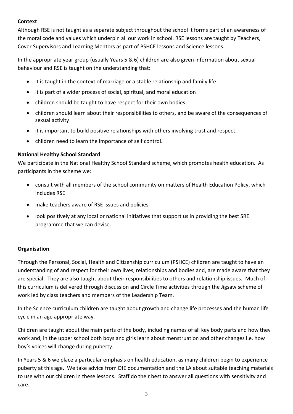### **Context**

Although RSE is not taught as a separate subject throughout the school it forms part of an awareness of the moral code and values which underpin all our work in school. RSE lessons are taught by Teachers, Cover Supervisors and Learning Mentors as part of PSHCE lessons and Science lessons.

In the appropriate year group (usually Years 5 & 6) children are also given information about sexual behaviour and RSE is taught on the understanding that:

- it is taught in the context of marriage or a stable relationship and family life
- it is part of a wider process of social, spiritual, and moral education
- children should be taught to have respect for their own bodies
- children should learn about their responsibilities to others, and be aware of the consequences of sexual activity
- it is important to build positive relationships with others involving trust and respect.
- children need to learn the importance of self control.

# **National Healthy School Standard**

We participate in the National Healthy School Standard scheme, which promotes health education. As participants in the scheme we:

- consult with all members of the school community on matters of Health Education Policy, which includes RSE
- make teachers aware of RSE issues and policies
- look positively at any local or national initiatives that support us in providing the best SRE programme that we can devise.

# **Organisation**

Through the Personal, Social, Health and Citizenship curriculum (PSHCE) children are taught to have an understanding of and respect for their own lives, relationships and bodies and, are made aware that they are special. They are also taught about their responsibilities to others and relationship issues. Much of this curriculum is delivered through discussion and Circle Time activities through the Jigsaw scheme of work led by class teachers and members of the Leadership Team.

In the Science curriculum children are taught about growth and change life processes and the human life cycle in an age appropriate way.

Children are taught about the main parts of the body, including names of all key body parts and how they work and, in the upper school both boys and girls learn about menstruation and other changes i.e. how boy's voices will change during puberty.

In Years 5 & 6 we place a particular emphasis on health education, as many children begin to experience puberty at this age. We take advice from DfE documentation and the LA about suitable teaching materials to use with our children in these lessons. Staff do their best to answer all questions with sensitivity and care.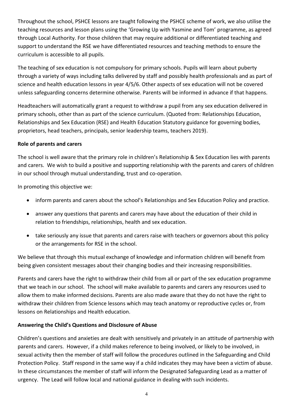Throughout the school, PSHCE lessons are taught following the PSHCE scheme of work, we also utilise the teaching resources and lesson plans using the 'Growing Up with Yasmine and Tom' programme, as agreed through Local Authority. For those children that may require additional or differentiated teaching and support to understand the RSE we have differentiated resources and teaching methods to ensure the curriculum is accessible to all pupils.

The teaching of sex education is not compulsory for primary schools. Pupils will learn about puberty through a variety of ways including talks delivered by staff and possibly health professionals and as part of science and health education lessons in year 4/5/6. Other aspects of sex education will not be covered unless safeguarding concerns determine otherwise. Parents will be informed in advance if that happens.

Headteachers will automatically grant a request to withdraw a pupil from any sex education delivered in primary schools, other than as part of the science curriculum. (Quoted from: Relationships Education, Relationships and Sex Education (RSE) and Health Education Statutory guidance for governing bodies, proprietors, head teachers, principals, senior leadership teams, teachers 2019).

#### **Role of parents and carers**

The school is well aware that the primary role in children's Relationship & Sex Education lies with parents and carers. We wish to build a positive and supporting relationship with the parents and carers of children in our school through mutual understanding, trust and co-operation.

In promoting this objective we:

- inform parents and carers about the school's Relationships and Sex Education Policy and practice.
- answer any questions that parents and carers may have about the education of their child in relation to friendships, relationships, health and sex education.
- take seriously any issue that parents and carers raise with teachers or governors about this policy or the arrangements for RSE in the school.

We believe that through this mutual exchange of knowledge and information children will benefit from being given consistent messages about their changing bodies and their increasing responsibilities.

Parents and carers have the right to withdraw their child from all or part of the sex education programme that we teach in our school. The school will make available to parents and carers any resources used to allow them to make informed decisions. Parents are also made aware that they do not have the right to withdraw their children from Science lessons which may teach anatomy or reproductive cycles or, from lessons on Relationships and Health education.

# **Answering the Child's Questions and Disclosure of Abuse**

Children's questions and anxieties are dealt with sensitively and privately in an attitude of partnership with parents and carers. However, if a child makes reference to being involved, or likely to be involved, in sexual activity then the member of staff will follow the procedures outlined in the Safeguarding and Child Protection Policy. Staff respond in the same way if a child indicates they may have been a victim of abuse. In these circumstances the member of staff will inform the Designated Safeguarding Lead as a matter of urgency. The Lead will follow local and national guidance in dealing with such incidents.